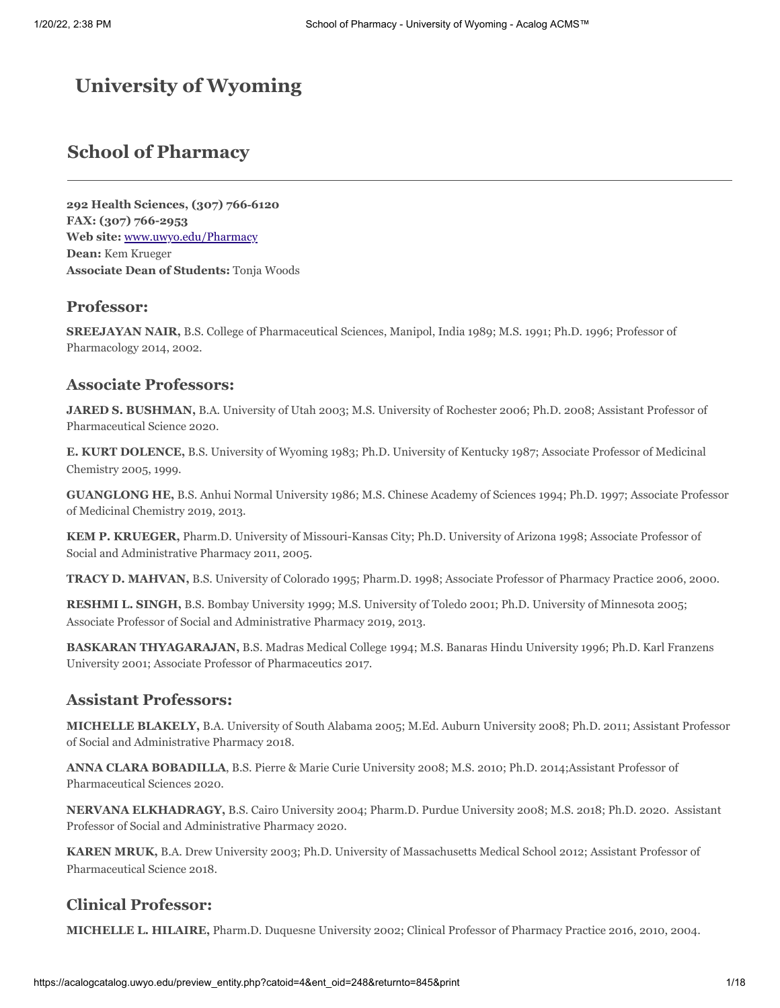# **University of Wyoming**

# **School of Pharmacy**

**292 Health Sciences, (307) 766‑6120 FAX: (307) 766-2953 Web site:** [www.uwyo.edu/Pharmacy](http://www.uwyo.edu/Pharmacy) **Dean:** Kem Krueger **Associate Dean of Students:** Tonja Woods

# **Professor:**

**SREEJAYAN NAIR,** B.S. College of Pharmaceutical Sciences, Manipol, India 1989; M.S. 1991; Ph.D. 1996; Professor of Pharmacology 2014, 2002.

## **Associate Professors:**

**JARED S. BUSHMAN,** B.A. University of Utah 2003; M.S. University of Rochester 2006; Ph.D. 2008; Assistant Professor of Pharmaceutical Science 2020.

**E. KURT DOLENCE,** B.S. University of Wyoming 1983; Ph.D. University of Kentucky 1987; Associate Professor of Medicinal Chemistry 2005, 1999.

**GUANGLONG HE,** B.S. Anhui Normal University 1986; M.S. Chinese Academy of Sciences 1994; Ph.D. 1997; Associate Professor of Medicinal Chemistry 2019, 2013.

**KEM P. KRUEGER,** Pharm.D. University of Missouri-Kansas City; Ph.D. University of Arizona 1998; Associate Professor of Social and Administrative Pharmacy 2011, 2005.

**TRACY D. MAHVAN,** B.S. University of Colorado 1995; Pharm.D. 1998; Associate Professor of Pharmacy Practice 2006, 2000.

**RESHMI L. SINGH,** B.S. Bombay University 1999; M.S. University of Toledo 2001; Ph.D. University of Minnesota 2005; Associate Professor of Social and Administrative Pharmacy 2019, 2013.

**BASKARAN THYAGARAJAN,** B.S. Madras Medical College 1994; M.S. Banaras Hindu University 1996; Ph.D. Karl Franzens University 2001; Associate Professor of Pharmaceutics 2017.

## **Assistant Professors:**

**MICHELLE BLAKELY,** B.A. University of South Alabama 2005; M.Ed. Auburn University 2008; Ph.D. 2011; Assistant Professor of Social and Administrative Pharmacy 2018.

**ANNA CLARA BOBADILLA**, B.S. Pierre & Marie Curie University 2008; M.S. 2010; Ph.D. 2014;Assistant Professor of Pharmaceutical Sciences 2020.

**NERVANA ELKHADRAGY,** B.S. Cairo University 2004; Pharm.D. Purdue University 2008; M.S. 2018; Ph.D. 2020. Assistant Professor of Social and Administrative Pharmacy 2020.

**KAREN MRUK,** B.A. Drew University 2003; Ph.D. University of Massachusetts Medical School 2012; Assistant Professor of Pharmaceutical Science 2018.

# **Clinical Professor:**

**MICHELLE L. HILAIRE,** Pharm.D. Duquesne University 2002; Clinical Professor of Pharmacy Practice 2016, 2010, 2004.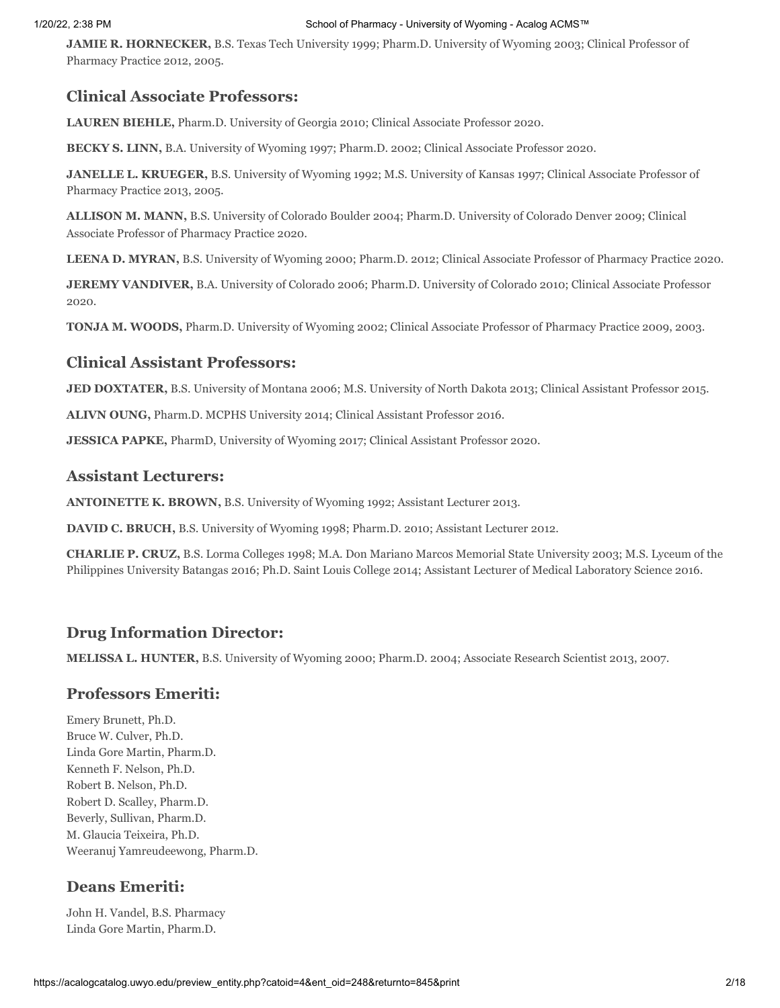**JAMIE R. HORNECKER,** B.S. Texas Tech University 1999; Pharm.D. University of Wyoming 2003; Clinical Professor of Pharmacy Practice 2012, 2005.

# **Clinical Associate Professors:**

**LAUREN BIEHLE,** Pharm.D. University of Georgia 2010; Clinical Associate Professor 2020.

**BECKY S. LINN,** B.A. University of Wyoming 1997; Pharm.D. 2002; Clinical Associate Professor 2020.

**JANELLE L. KRUEGER,** B.S. University of Wyoming 1992; M.S. University of Kansas 1997; Clinical Associate Professor of Pharmacy Practice 2013, 2005.

**ALLISON M. MANN,** B.S. University of Colorado Boulder 2004; Pharm.D. University of Colorado Denver 2009; Clinical Associate Professor of Pharmacy Practice 2020.

**LEENA D. MYRAN,** B.S. University of Wyoming 2000; Pharm.D. 2012; Clinical Associate Professor of Pharmacy Practice 2020.

**JEREMY VANDIVER,** B.A. University of Colorado 2006; Pharm.D. University of Colorado 2010; Clinical Associate Professor 2020.

**TONJA M. WOODS,** Pharm.D. University of Wyoming 2002; Clinical Associate Professor of Pharmacy Practice 2009, 2003.

# **Clinical Assistant Professors:**

**JED DOXTATER,** B.S. University of Montana 2006; M.S. University of North Dakota 2013; Clinical Assistant Professor 2015.

**ALIVN OUNG,** Pharm.D. MCPHS University 2014; Clinical Assistant Professor 2016.

**JESSICA PAPKE,** PharmD, University of Wyoming 2017; Clinical Assistant Professor 2020.

### **Assistant Lecturers:**

**ANTOINETTE K. BROWN,** B.S. University of Wyoming 1992; Assistant Lecturer 2013.

**DAVID C. BRUCH,** B.S. University of Wyoming 1998; Pharm.D. 2010; Assistant Lecturer 2012.

**CHARLIE P. CRUZ,** B.S. Lorma Colleges 1998; M.A. Don Mariano Marcos Memorial State University 2003; M.S. Lyceum of the Philippines University Batangas 2016; Ph.D. Saint Louis College 2014; Assistant Lecturer of Medical Laboratory Science 2016.

## **Drug Information Director:**

**MELISSA L. HUNTER,** B.S. University of Wyoming 2000; Pharm.D. 2004; Associate Research Scientist 2013, 2007.

### **Professors Emeriti:**

Emery Brunett, Ph.D. Bruce W. Culver, Ph.D. Linda Gore Martin, Pharm.D. Kenneth F. Nelson, Ph.D. Robert B. Nelson, Ph.D. Robert D. Scalley, Pharm.D. Beverly, Sullivan, Pharm.D. M. Glaucia Teixeira, Ph.D. Weeranuj Yamreudeewong, Pharm.D.

### **Deans Emeriti:**

John H. Vandel, B.S. Pharmacy Linda Gore Martin, Pharm.D.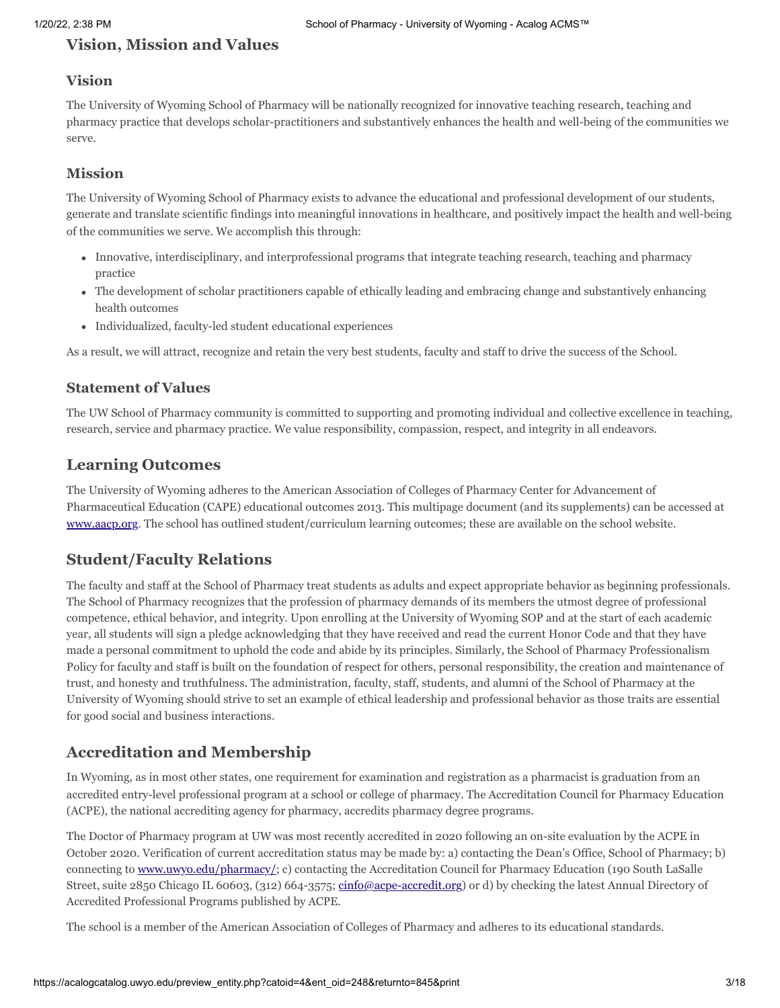# **Vision, Mission and Values**

### **Vision**

The University of Wyoming School of Pharmacy will be nationally recognized for innovative teaching research, teaching and pharmacy practice that develops scholar-practitioners and substantively enhances the health and well-being of the communities we serve.

# **Mission**

The University of Wyoming School of Pharmacy exists to advance the educational and professional development of our students, generate and translate scientific findings into meaningful innovations in healthcare, and positively impact the health and well-being of the communities we serve. We accomplish this through:

- Innovative, interdisciplinary, and interprofessional programs that integrate teaching research, teaching and pharmacy practice
- The development of scholar practitioners capable of ethically leading and embracing change and substantively enhancing health outcomes
- Individualized, faculty-led student educational experiences

As a result, we will attract, recognize and retain the very best students, faculty and staff to drive the success of the School.

# **Statement of Values**

The UW School of Pharmacy community is committed to supporting and promoting individual and collective excellence in teaching, research, service and pharmacy practice. We value responsibility, compassion, respect, and integrity in all endeavors.

# **Learning Outcomes**

The University of Wyoming adheres to the American Association of Colleges of Pharmacy Center for Advancement of Pharmaceutical Education (CAPE) educational outcomes 2013. This multipage document (and its supplements) can be accessed at [www.aacp.org](http://www.aacp.org/). The school has outlined student/curriculum learning outcomes; these are available on the school website.

# **Student/Faculty Relations**

The faculty and staff at the School of Pharmacy treat students as adults and expect appropriate behavior as beginning professionals. The School of Pharmacy recognizes that the profession of pharmacy demands of its members the utmost degree of professional competence, ethical behavior, and integrity. Upon enrolling at the University of Wyoming SOP and at the start of each academic year, all students will sign a pledge acknowledging that they have received and read the current Honor Code and that they have made a personal commitment to uphold the code and abide by its principles. Similarly, the School of Pharmacy Professionalism Policy for faculty and staff is built on the foundation of respect for others, personal responsibility, the creation and maintenance of trust, and honesty and truthfulness. The administration, faculty, staff, students, and alumni of the School of Pharmacy at the University of Wyoming should strive to set an example of ethical leadership and professional behavior as those traits are essential for good social and business interactions.

# **Accreditation and Membership**

In Wyoming, as in most other states, one requirement for examination and registration as a pharmacist is graduation from an accredited entry-level professional program at a school or college of pharmacy. The Accreditation Council for Pharmacy Education (ACPE), the national accrediting agency for pharmacy, accredits pharmacy degree programs.

The Doctor of Pharmacy program at UW was most recently accredited in 2020 following an on-site evaluation by the ACPE in October 2020. Verification of current accreditation status may be made by: a) contacting the Dean's Office, School of Pharmacy; b) connecting to [www.uwyo.edu/pharmacy/](http://www.uwyo.edu/pharmacy/); c) contacting the Accreditation Council for Pharmacy Education (190 South LaSalle Street, suite 2850 Chicago IL 60603, (312) 664-3575; [cinfo@acpe-accredit.org\)](mailto:cinfo@acpe-accredit.org) or d) by checking the latest Annual Directory of Accredited Professional Programs published by ACPE.

The school is a member of the American Association of Colleges of Pharmacy and adheres to its educational standards.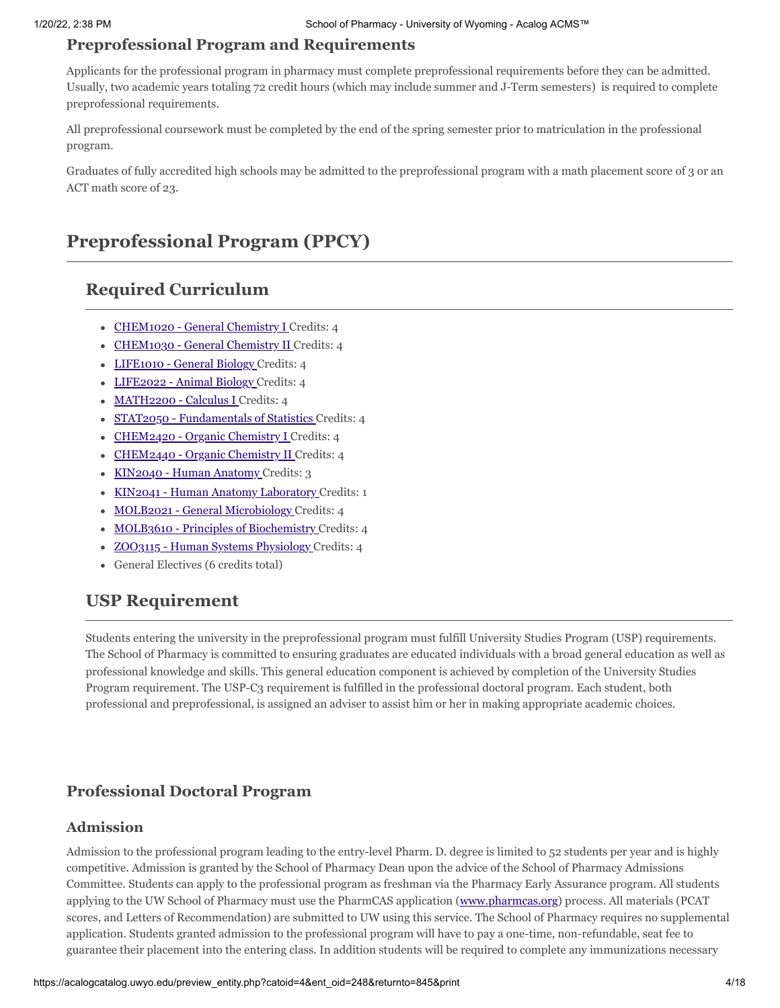# **Preprofessional Program and Requirements**

Applicants for the professional program in pharmacy must complete preprofessional requirements before they can be admitted. Usually, two academic years totaling 72 credit hours (which may include summer and J-Term semesters) is required to complete preprofessional requirements.

All preprofessional coursework must be completed by the end of the spring semester prior to matriculation in the professional program.

Graduates of fully accredited high schools may be admitted to the preprofessional program with a math placement score of 3 or an ACT math score of 23.

# **Preprofessional Program (PPCY)**

# **Required Curriculum**

- CHEM1020 General Chemistry I Credits: 4
- CHEM1030 General Chemistry II Credits: 4
- LIFE1010 General Biology Credits: 4
- LIFE2022 Animal Biology Credits: 4
- MATH2200 Calculus I Credits: 4
- STAT2050 Fundamentals of Statistics Credits: 4
- CHEM2420 Organic Chemistry I Credits: 4
- CHEM2440 Organic Chemistry II Credits: 4
- KIN2040 Human Anatomy Credits: 3
- KIN2041 Human Anatomy Laboratory Credits: 1
- MOLB2021 General Microbiology Credits: 4
- MOLB3610 Principles of Biochemistry Credits: 4
- ZOO3115 Human Systems Physiology Credits: 4
- General Electives (6 credits total)

# **USP Requirement**

Students entering the university in the preprofessional program must fulfill University Studies Program (USP) requirements. The School of Pharmacy is committed to ensuring graduates are educated individuals with a broad general education as well as professional knowledge and skills. This general education component is achieved by completion of the University Studies Program requirement. The USP-C3 requirement is fulfilled in the professional doctoral program. Each student, both professional and preprofessional, is assigned an adviser to assist him or her in making appropriate academic choices.

# **Professional Doctoral Program**

### **Admission**

Admission to the professional program leading to the entry-level Pharm. D. degree is limited to 52 students per year and is highly competitive. Admission is granted by the School of Pharmacy Dean upon the advice of the School of Pharmacy Admissions Committee. Students can apply to the professional program as freshman via the Pharmacy Early Assurance program. All students applying to the UW School of Pharmacy must use the PharmCAS application ([www.pharmcas.org](http://www.pharmcas.org/)) process. All materials (PCAT scores, and Letters of Recommendation) are submitted to UW using this service. The School of Pharmacy requires no supplemental application. Students granted admission to the professional program will have to pay a one-time, non-refundable, seat fee to guarantee their placement into the entering class. In addition students will be required to complete any immunizations necessary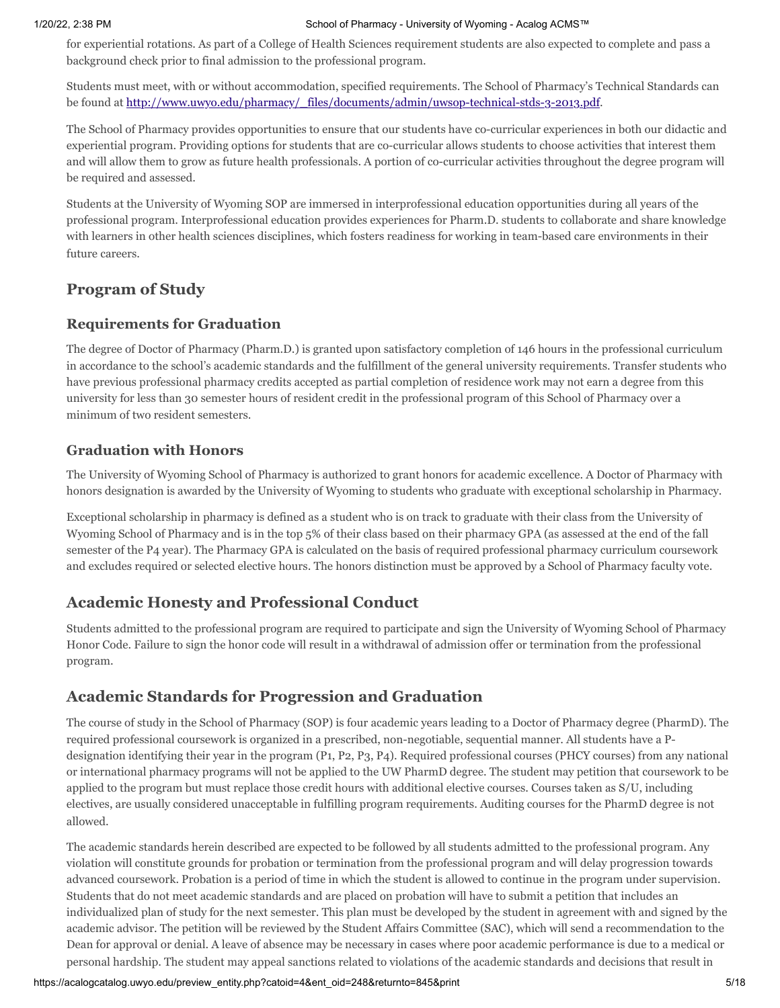for experiential rotations. As part of a College of Health Sciences requirement students are also expected to complete and pass a background check prior to final admission to the professional program.

Students must meet, with or without accommodation, specified requirements. The School of Pharmacy's Technical Standards can be found at [http://www.uwyo.edu/pharmacy/\\_files/documents/admin/uwsop-technical-stds-3-2013.pdf](http://www.uwyo.edu/pharmacy/_files/documents/admin/uwsop-technical-stds-3-2013.pdf).

The School of Pharmacy provides opportunities to ensure that our students have co-curricular experiences in both our didactic and experiential program. Providing options for students that are co-curricular allows students to choose activities that interest them and will allow them to grow as future health professionals. A portion of co-curricular activities throughout the degree program will be required and assessed.

Students at the University of Wyoming SOP are immersed in interprofessional education opportunities during all years of the professional program. Interprofessional education provides experiences for Pharm.D. students to collaborate and share knowledge with learners in other health sciences disciplines, which fosters readiness for working in team-based care environments in their future careers.

# **Program of Study**

## **Requirements for Graduation**

The degree of Doctor of Pharmacy (Pharm.D.) is granted upon satisfactory completion of 146 hours in the professional curriculum in accordance to the school's academic standards and the fulfillment of the general university requirements. Transfer students who have previous professional pharmacy credits accepted as partial completion of residence work may not earn a degree from this university for less than 30 semester hours of resident credit in the professional program of this School of Pharmacy over a minimum of two resident semesters.

## **Graduation with Honors**

The University of Wyoming School of Pharmacy is authorized to grant honors for academic excellence. A Doctor of Pharmacy with honors designation is awarded by the University of Wyoming to students who graduate with exceptional scholarship in Pharmacy.

Exceptional scholarship in pharmacy is defined as a student who is on track to graduate with their class from the University of Wyoming School of Pharmacy and is in the top 5% of their class based on their pharmacy GPA (as assessed at the end of the fall semester of the P4 year). The Pharmacy GPA is calculated on the basis of required professional pharmacy curriculum coursework and excludes required or selected elective hours. The honors distinction must be approved by a School of Pharmacy faculty vote.

# **Academic Honesty and Professional Conduct**

Students admitted to the professional program are required to participate and sign the University of Wyoming School of Pharmacy Honor Code. Failure to sign the honor code will result in a withdrawal of admission offer or termination from the professional program.

# **Academic Standards for Progression and Graduation**

The course of study in the School of Pharmacy (SOP) is four academic years leading to a Doctor of Pharmacy degree (PharmD). The required professional coursework is organized in a prescribed, non-negotiable, sequential manner. All students have a Pdesignation identifying their year in the program (P1, P2, P3, P4). Required professional courses (PHCY courses) from any national or international pharmacy programs will not be applied to the UW PharmD degree. The student may petition that coursework to be applied to the program but must replace those credit hours with additional elective courses. Courses taken as S/U, including electives, are usually considered unacceptable in fulfilling program requirements. Auditing courses for the PharmD degree is not allowed.

The academic standards herein described are expected to be followed by all students admitted to the professional program. Any violation will constitute grounds for probation or termination from the professional program and will delay progression towards advanced coursework. Probation is a period of time in which the student is allowed to continue in the program under supervision. Students that do not meet academic standards and are placed on probation will have to submit a petition that includes an individualized plan of study for the next semester. This plan must be developed by the student in agreement with and signed by the academic advisor. The petition will be reviewed by the Student Affairs Committee (SAC), which will send a recommendation to the Dean for approval or denial. A leave of absence may be necessary in cases where poor academic performance is due to a medical or personal hardship. The student may appeal sanctions related to violations of the academic standards and decisions that result in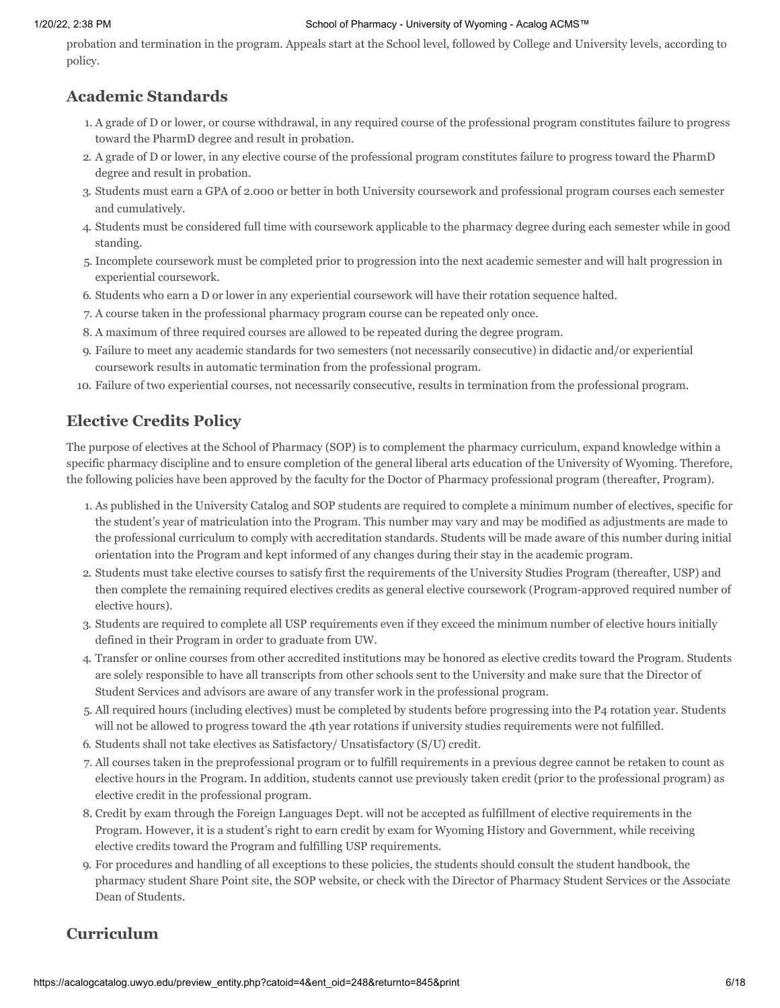probation and termination in the program. Appeals start at the School level, followed by College and University levels, according to policy.

# **Academic Standards**

- 1. A grade of D or lower, or course withdrawal, in any required course of the professional program constitutes failure to progress toward the PharmD degree and result in probation.
- 2. A grade of D or lower, in any elective course of the professional program constitutes failure to progress toward the PharmD degree and result in probation.
- 3. Students must earn a GPA of 2.000 or better in both University coursework and professional program courses each semester and cumulatively.
- 4. Students must be considered full time with coursework applicable to the pharmacy degree during each semester while in good standing.
- 5. Incomplete coursework must be completed prior to progression into the next academic semester and will halt progression in experiential coursework.
- 6. Students who earn a D or lower in any experiential coursework will have their rotation sequence halted.
- 7. A course taken in the professional pharmacy program course can be repeated only once.
- 8. A maximum of three required courses are allowed to be repeated during the degree program.
- 9. Failure to meet any academic standards for two semesters (not necessarily consecutive) in didactic and/or experiential coursework results in automatic termination from the professional program.
- 10. Failure of two experiential courses, not necessarily consecutive, results in termination from the professional program.

# **Elective Credits Policy**

The purpose of electives at the School of Pharmacy (SOP) is to complement the pharmacy curriculum, expand knowledge within a specific pharmacy discipline and to ensure completion of the general liberal arts education of the University of Wyoming. Therefore, the following policies have been approved by the faculty for the Doctor of Pharmacy professional program (thereafter, Program).

- 1. As published in the University Catalog and SOP students are required to complete a minimum number of electives, specific for the student's year of matriculation into the Program. This number may vary and may be modified as adjustments are made to the professional curriculum to comply with accreditation standards. Students will be made aware of this number during initial orientation into the Program and kept informed of any changes during their stay in the academic program.
- 2. Students must take elective courses to satisfy first the requirements of the University Studies Program (thereafter, USP) and then complete the remaining required electives credits as general elective coursework (Program-approved required number of elective hours).
- 3. Students are required to complete all USP requirements even if they exceed the minimum number of elective hours initially defined in their Program in order to graduate from UW.
- 4. Transfer or online courses from other accredited institutions may be honored as elective credits toward the Program. Students are solely responsible to have all transcripts from other schools sent to the University and make sure that the Director of Student Services and advisors are aware of any transfer work in the professional program.
- 5. All required hours (including electives) must be completed by students before progressing into the P4 rotation year. Students will not be allowed to progress toward the 4th year rotations if university studies requirements were not fulfilled.
- 6. Students shall not take electives as Satisfactory/ Unsatisfactory (S/U) credit.
- 7. All courses taken in the preprofessional program or to fulfill requirements in a previous degree cannot be retaken to count as elective hours in the Program. In addition, students cannot use previously taken credit (prior to the professional program) as elective credit in the professional program.
- 8. Credit by exam through the Foreign Languages Dept. will not be accepted as fulfillment of elective requirements in the Program. However, it is a student's right to earn credit by exam for Wyoming History and Government, while receiving elective credits toward the Program and fulfilling USP requirements.
- 9. For procedures and handling of all exceptions to these policies, the students should consult the student handbook, the pharmacy student Share Point site, the SOP website, or check with the Director of Pharmacy Student Services or the Associate Dean of Students.

# **Curriculum**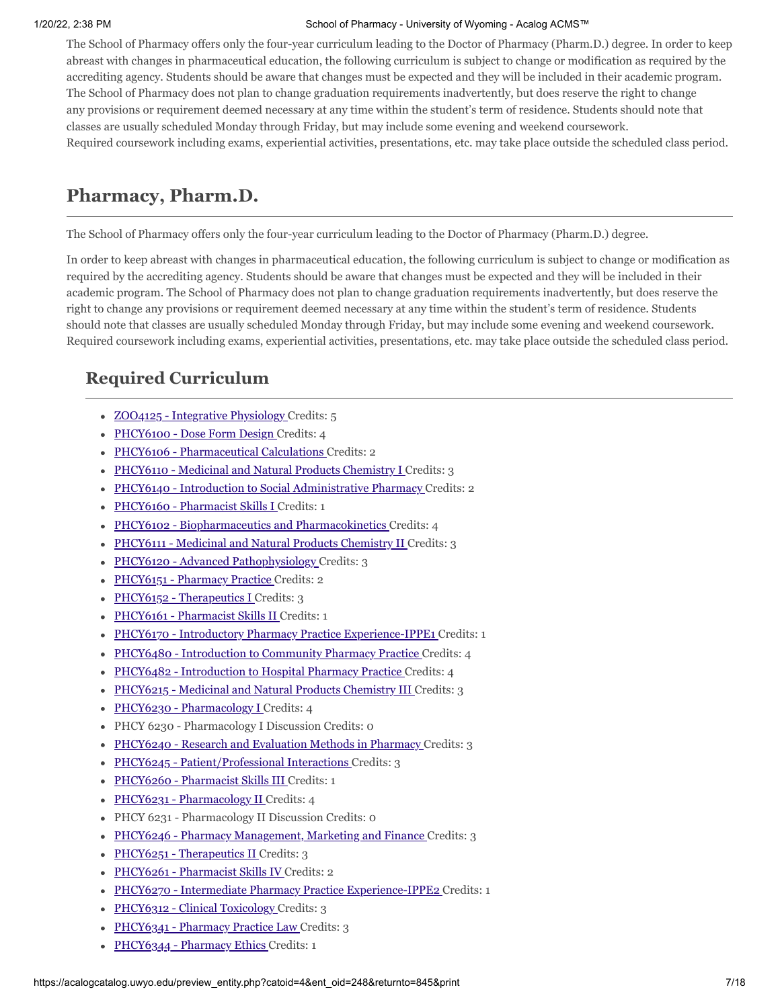The School of Pharmacy offers only the four-year curriculum leading to the Doctor of Pharmacy (Pharm.D.) degree. In order to keep abreast with changes in pharmaceutical education, the following curriculum is subject to change or modification as required by the accrediting agency. Students should be aware that changes must be expected and they will be included in their academic program. The School of Pharmacy does not plan to change graduation requirements inadvertently, but does reserve the right to change any provisions or requirement deemed necessary at any time within the student's term of residence. Students should note that classes are usually scheduled Monday through Friday, but may include some evening and weekend coursework. Required coursework including exams, experiential activities, presentations, etc. may take place outside the scheduled class period.

# **Pharmacy, Pharm.D.**

The School of Pharmacy offers only the four-year curriculum leading to the Doctor of Pharmacy (Pharm.D.) degree.

In order to keep abreast with changes in pharmaceutical education, the following curriculum is subject to change or modification as required by the accrediting agency. Students should be aware that changes must be expected and they will be included in their academic program. The School of Pharmacy does not plan to change graduation requirements inadvertently, but does reserve the right to change any provisions or requirement deemed necessary at any time within the student's term of residence. Students should note that classes are usually scheduled Monday through Friday, but may include some evening and weekend coursework. Required coursework including exams, experiential activities, presentations, etc. may take place outside the scheduled class period.

# **Required Curriculum**

- ZOO4125 Integrative Physiology Credits: 5
- PHCY6100 Dose Form Design Credits: 4
- PHCY6106 Pharmaceutical Calculations Credits: 2
- PHCY6110 Medicinal and Natural Products Chemistry I Credits: 3
- PHCY6140 Introduction to Social Administrative Pharmacy Credits: 2
- PHCY6160 Pharmacist Skills I Credits: 1
- PHCY6102 Biopharmaceutics and Pharmacokinetics Credits: 4
- PHCY6111 Medicinal and Natural Products Chemistry II Credits: 3
- PHCY6120 Advanced Pathophysiology Credits: 3
- PHCY6151 Pharmacy Practice Credits: 2
- PHCY6152 Therapeutics I Credits: 3
- PHCY6161 Pharmacist Skills II Credits: 1
- PHCY6170 Introductory Pharmacy Practice Experience-IPPE1 Credits: 1
- PHCY6480 Introduction to Community Pharmacy Practice Credits: 4
- PHCY6482 Introduction to Hospital Pharmacy Practice Credits: 4
- PHCY6215 Medicinal and Natural Products Chemistry III Credits: 3
- PHCY6230 Pharmacology I Credits: 4
- PHCY 6230 Pharmacology I Discussion Credits: 0
- PHCY6240 Research and Evaluation Methods in Pharmacy Credits: 3
- PHCY6245 Patient/Professional Interactions Credits: 3
- PHCY6260 Pharmacist Skills III Credits: 1
- PHCY6231 Pharmacology II Credits: 4
- PHCY 6231 Pharmacology II Discussion Credits: 0
- PHCY6246 Pharmacy Management, Marketing and Finance Credits: 3
- PHCY6251 Therapeutics II Credits: 3
- PHCY6261 Pharmacist Skills IV Credits: 2
- · PHCY6270 Intermediate Pharmacy Practice Experience-IPPE2 Credits: 1
- PHCY6312 Clinical Toxicology Credits: 3
- PHCY6341 Pharmacy Practice Law Credits: 3
- PHCY6344 Pharmacy Ethics Credits: 1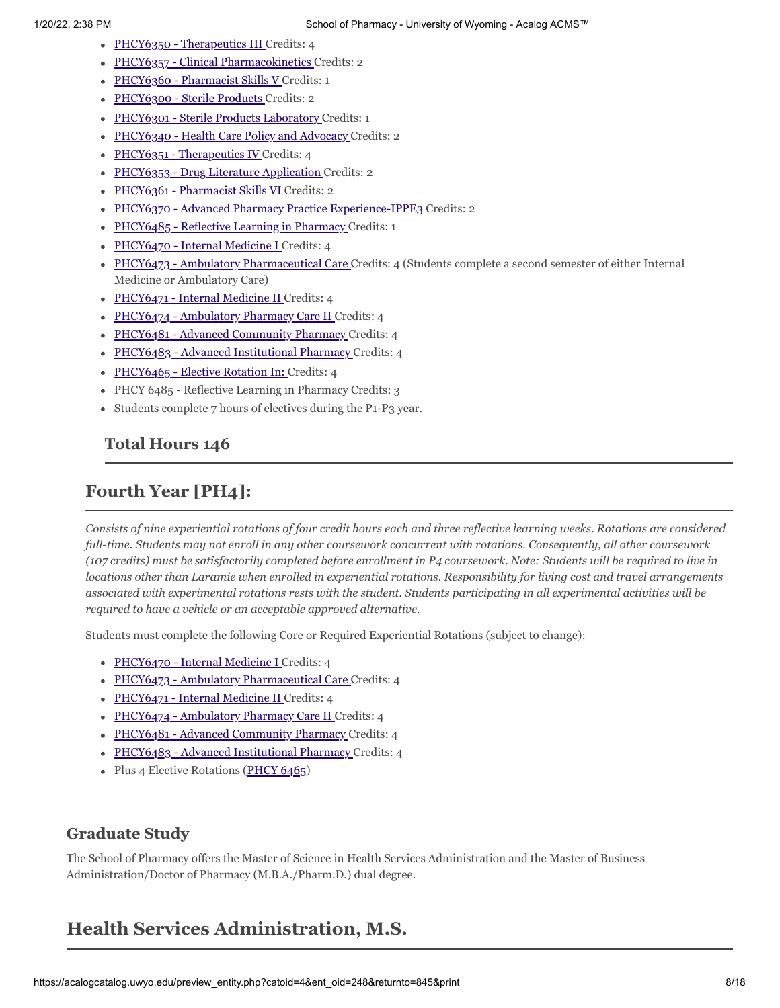- PHCY6350 Therapeutics III Credits: 4
- PHCY6357 Clinical Pharmacokinetics Credits: 2
- PHCY6360 Pharmacist Skills V Credits: 1
- PHCY6300 Sterile Products Credits: 2
- · PHCY6301 Sterile Products Laboratory Credits: 1
- PHCY6340 Health Care Policy and Advocacy Credits: 2
- PHCY6351 Therapeutics IV Credits: 4
- PHCY6353 Drug Literature Application Credits: 2
- PHCY6361 Pharmacist Skills VI Credits: 2
- PHCY6370 Advanced Pharmacy Practice Experience-IPPE3 Credits: 2
- PHCY6485 Reflective Learning in Pharmacy Credits: 1
- PHCY6470 Internal Medicine I Credits: 4
- PHCY6473 Ambulatory Pharmaceutical Care Credits: 4 (Students complete a second semester of either Internal Medicine or Ambulatory Care)
- PHCY6471 Internal Medicine II Credits: 4
- PHCY6474 Ambulatory Pharmacy Care II Credits: 4
- PHCY6481 Advanced Community Pharmacy Credits: 4
- PHCY6483 Advanced Institutional Pharmacy Credits: 4
- PHCY6465 Elective Rotation In: Credits: 4
- PHCY 6485 Reflective Learning in Pharmacy Credits: 3
- Students complete 7 hours of electives during the P1-P3 year.

# **Total Hours 146**

# **Fourth Year [PH4]:**

*Consists of nine experiential rotations of four credit hours each and three reflective learning weeks. Rotations are considered full-time. Students may not enroll in any other coursework concurrent with rotations. Consequently, all other coursework (107 credits) must be satisfactorily completed before enrollment in P4 coursework. Note: Students will be required to live in locations other than Laramie when enrolled in experiential rotations. Responsibility for living cost and travel arrangements associated with experimental rotations rests with the student. Students participating in all experimental activities will be required to have a vehicle or an acceptable approved alternative.*

Students must complete the following Core or Required Experiential Rotations (subject to change):

- PHCY6470 Internal Medicine I Credits: 4
- PHCY6473 Ambulatory Pharmaceutical Care Credits: 4
- PHCY6471 Internal Medicine II Credits: 4
- PHCY6474 Ambulatory Pharmacy Care II Credits: 4
- PHCY6481 Advanced Community Pharmacy Credits: 4
- PHCY6483 Advanced Institutional Pharmacy Credits: 4
- <span id="page-7-0"></span>• Plus 4 Elective Rotations ([PHCY 6465](#page-7-0))

# **Graduate Study**

The School of Pharmacy offers the Master of Science in Health Services Administration and the Master of Business Administration/Doctor of Pharmacy (M.B.A./Pharm.D.) dual degree.

# **Health Services Administration, M.S.**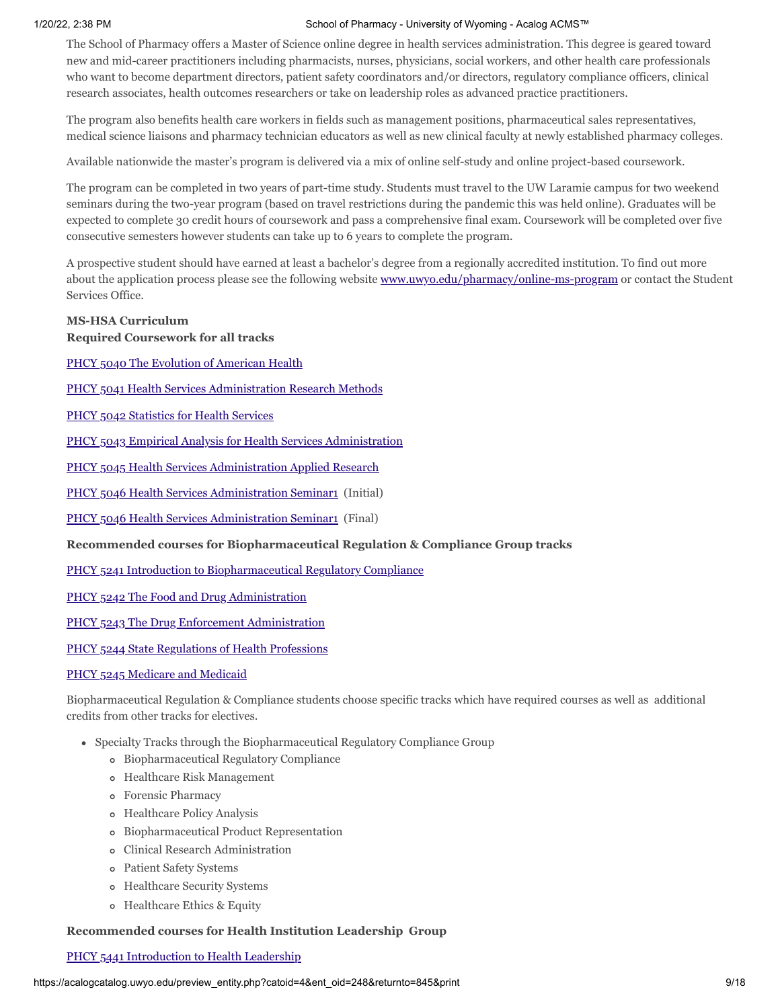The School of Pharmacy offers a Master of Science online degree in health services administration. This degree is geared toward new and mid-career practitioners including pharmacists, nurses, physicians, social workers, and other health care professionals who want to become department directors, patient safety coordinators and/or directors, regulatory compliance officers, clinical research associates, health outcomes researchers or take on leadership roles as advanced practice practitioners.

The program also benefits health care workers in fields such as management positions, pharmaceutical sales representatives, medical science liaisons and pharmacy technician educators as well as new clinical faculty at newly established pharmacy colleges.

Available nationwide the master's program is delivered via a mix of online self-study and online project-based coursework.

The program can be completed in two years of part-time study. Students must travel to the UW Laramie campus for two weekend seminars during the two-year program (based on travel restrictions during the pandemic this was held online). Graduates will be expected to complete 30 credit hours of coursework and pass a comprehensive final exam. Coursework will be completed over five consecutive semesters however students can take up to 6 years to complete the program.

A prospective student should have earned at least a bachelor's degree from a regionally accredited institution. To find out more about the application process please see the following website [www.uwyo.edu/pharmacy/online-ms-program](http://www.uwyo.edu/pharmacy/online-ms-program) or contact the Student Services Office.

#### **MS-HSA Curriculum Required Coursework for all tracks**

<span id="page-8-0"></span>[PHCY 5040 The Evolution of American Health](#page-8-0)

<span id="page-8-1"></span>[PHCY 5041 Health Services Administration Research Methods](#page-8-1)

<span id="page-8-2"></span>[PHCY 5042 Statistics for Health Services](#page-8-2)

<span id="page-8-3"></span>[PHCY 5043 Empirical Analysis for Health Services Administration](#page-8-3)

<span id="page-8-4"></span>[PHCY 5045 Health Services Administration Applied Research](#page-8-4)

<span id="page-8-5"></span>[PHCY 5046 Health Services Administration Seminar1](#page-8-5) (Initial)

<span id="page-8-6"></span>[PHCY 5046 Health Services Administration Seminar1](#page-8-6) (Final)

**Recommended courses for Biopharmaceutical Regulation & Compliance Group tracks**

<span id="page-8-7"></span>[PHCY 5241 Introduction to Biopharmaceutical Regulatory Compliance](#page-8-7)

<span id="page-8-8"></span>[PHCY 5242 The Food and Drug Administration](#page-8-8)

<span id="page-8-9"></span>[PHCY 5243 The Drug Enforcement Administration](#page-8-9)

<span id="page-8-10"></span>[PHCY 5244 State Regulations of Health Professions](#page-8-10)

#### <span id="page-8-11"></span>[PHCY 5245 Medicare and Medicaid](#page-8-11)

Biopharmaceutical Regulation & Compliance students choose specific tracks which have required courses as well as additional credits from other tracks for electives.

- Specialty Tracks through the Biopharmaceutical Regulatory Compliance Group
	- Biopharmaceutical Regulatory Compliance
	- Healthcare Risk Management
	- Forensic Pharmacy
	- Healthcare Policy Analysis
	- Biopharmaceutical Product Representation
	- Clinical Research Administration
	- Patient Safety Systems
	- Healthcare Security Systems
	- Healthcare Ethics & Equity

#### **Recommended courses for Health Institution Leadership Group**

#### <span id="page-8-12"></span>[PHCY 5441 Introduction to Health Leadership](#page-8-12)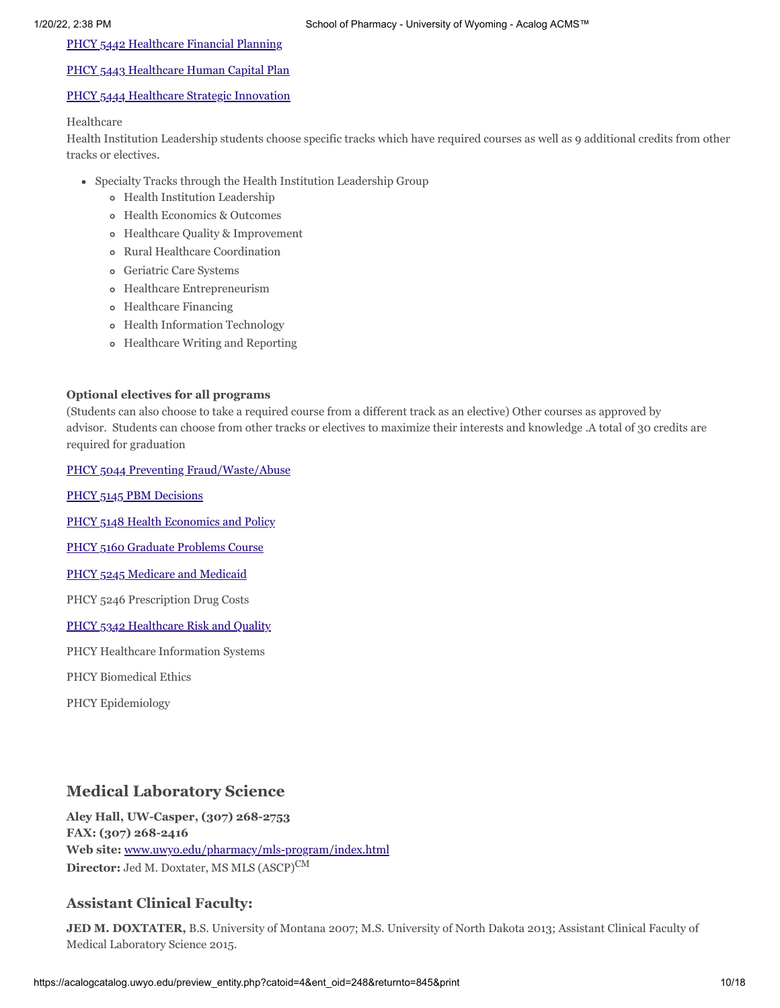#### <span id="page-9-0"></span>[PHCY 5442 Healthcare Financial Planning](#page-9-0)

### <span id="page-9-1"></span>[PHCY 5443 Healthcare Human Capital Plan](#page-9-1)

#### <span id="page-9-2"></span>[PHCY 5444 Healthcare Strategic Innovation](#page-9-2)

#### Healthcare

Health Institution Leadership students choose specific tracks which have required courses as well as 9 additional credits from other tracks or electives.

- Specialty Tracks through the Health Institution Leadership Group
	- Health Institution Leadership
	- Health Economics & Outcomes
	- Healthcare Quality & Improvement
	- Rural Healthcare Coordination
	- Geriatric Care Systems
	- Healthcare Entrepreneurism
	- Healthcare Financing
	- Health Information Technology
	- Healthcare Writing and Reporting

#### **Optional electives for all programs**

(Students can also choose to take a required course from a different track as an elective) Other courses as approved by advisor. Students can choose from other tracks or electives to maximize their interests and knowledge .A total of 30 credits are required for graduation

<span id="page-9-3"></span>[PHCY 5044 Preventing Fraud/Waste/Abuse](#page-9-3)

<span id="page-9-4"></span>[PHCY 5145 PBM Decisions](#page-9-4)

<span id="page-9-5"></span>[PHCY 5148 Health Economics and Policy](#page-9-5)

<span id="page-9-6"></span>[PHCY 5160 Graduate Problems Course](#page-9-6)

<span id="page-9-7"></span>[PHCY 5245 Medicare and Medicaid](#page-9-7)

PHCY 5246 Prescription Drug Costs

#### <span id="page-9-8"></span>[PHCY 5342 Healthcare Risk and Quality](#page-9-8)

PHCY Healthcare Information Systems

PHCY Biomedical Ethics

PHCY Epidemiology

## **Medical Laboratory Science**

**Aley Hall, UW-Casper, (307) 268-2753 FAX: (307) 268-2416 Web site:** [www.uwyo.edu/pharmacy/mls-program/index.html](http://www.uwyo.edu/pharmacy/mls-program/index.html) **Director:** Jed M. Doxtater, MS MLS (ASCP)<sup>CM</sup>

#### **Assistant Clinical Faculty:**

**JED M. DOXTATER,** B.S. University of Montana 2007; M.S. University of North Dakota 2013; Assistant Clinical Faculty of Medical Laboratory Science 2015.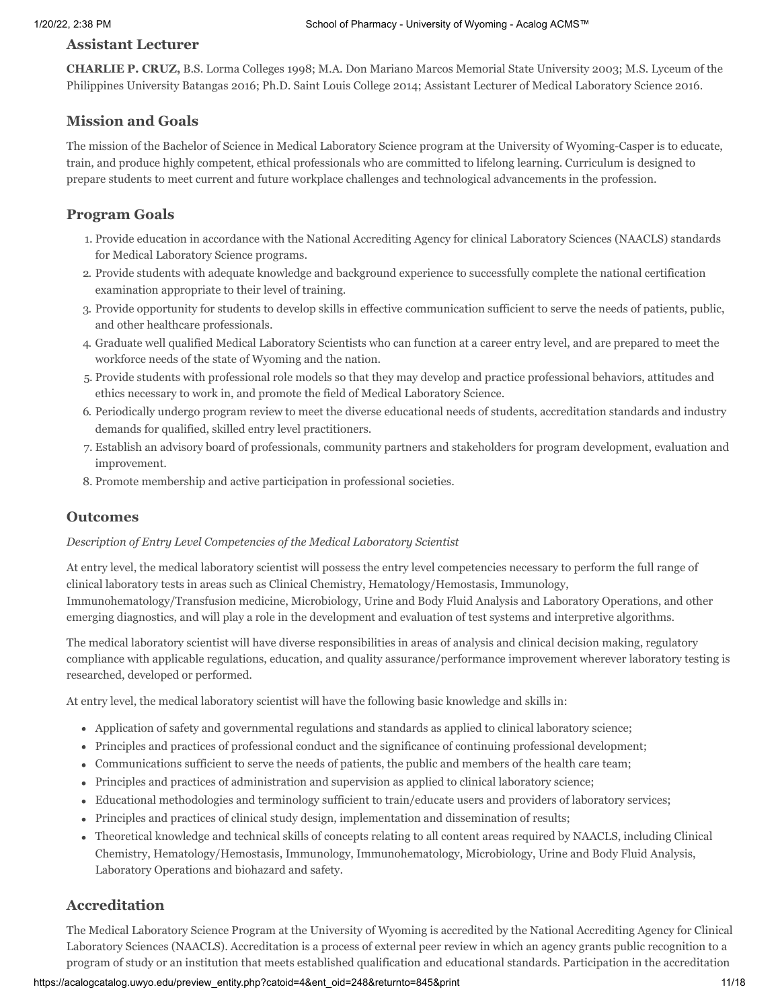### **Assistant Lecturer**

**CHARLIE P. CRUZ,** B.S. Lorma Colleges 1998; M.A. Don Mariano Marcos Memorial State University 2003; M.S. Lyceum of the Philippines University Batangas 2016; Ph.D. Saint Louis College 2014; Assistant Lecturer of Medical Laboratory Science 2016.

### **Mission and Goals**

The mission of the Bachelor of Science in Medical Laboratory Science program at the University of Wyoming-Casper is to educate, train, and produce highly competent, ethical professionals who are committed to lifelong learning. Curriculum is designed to prepare students to meet current and future workplace challenges and technological advancements in the profession.

### **Program Goals**

- 1. Provide education in accordance with the National Accrediting Agency for clinical Laboratory Sciences (NAACLS) standards for Medical Laboratory Science programs.
- 2. Provide students with adequate knowledge and background experience to successfully complete the national certification examination appropriate to their level of training.
- 3. Provide opportunity for students to develop skills in effective communication sufficient to serve the needs of patients, public, and other healthcare professionals.
- 4. Graduate well qualified Medical Laboratory Scientists who can function at a career entry level, and are prepared to meet the workforce needs of the state of Wyoming and the nation.
- 5. Provide students with professional role models so that they may develop and practice professional behaviors, attitudes and ethics necessary to work in, and promote the field of Medical Laboratory Science.
- 6. Periodically undergo program review to meet the diverse educational needs of students, accreditation standards and industry demands for qualified, skilled entry level practitioners.
- 7. Establish an advisory board of professionals, community partners and stakeholders for program development, evaluation and improvement.
- 8. Promote membership and active participation in professional societies.

### **Outcomes**

#### *Description of Entry Level Competencies of the Medical Laboratory Scientist*

At entry level, the medical laboratory scientist will possess the entry level competencies necessary to perform the full range of clinical laboratory tests in areas such as Clinical Chemistry, Hematology/Hemostasis, Immunology, Immunohematology/Transfusion medicine, Microbiology, Urine and Body Fluid Analysis and Laboratory Operations, and other emerging diagnostics, and will play a role in the development and evaluation of test systems and interpretive algorithms.

The medical laboratory scientist will have diverse responsibilities in areas of analysis and clinical decision making, regulatory compliance with applicable regulations, education, and quality assurance/performance improvement wherever laboratory testing is researched, developed or performed.

At entry level, the medical laboratory scientist will have the following basic knowledge and skills in:

- Application of safety and governmental regulations and standards as applied to clinical laboratory science;
- Principles and practices of professional conduct and the significance of continuing professional development;
- Communications sufficient to serve the needs of patients, the public and members of the health care team;
- Principles and practices of administration and supervision as applied to clinical laboratory science;
- Educational methodologies and terminology sufficient to train/educate users and providers of laboratory services;
- Principles and practices of clinical study design, implementation and dissemination of results;
- Theoretical knowledge and technical skills of concepts relating to all content areas required by NAACLS, including Clinical Chemistry, Hematology/Hemostasis, Immunology, Immunohematology, Microbiology, Urine and Body Fluid Analysis, Laboratory Operations and biohazard and safety.

### **Accreditation**

The Medical Laboratory Science Program at the University of Wyoming is accredited by the National Accrediting Agency for Clinical Laboratory Sciences (NAACLS). Accreditation is a process of external peer review in which an agency grants public recognition to a program of study or an institution that meets established qualification and educational standards. Participation in the accreditation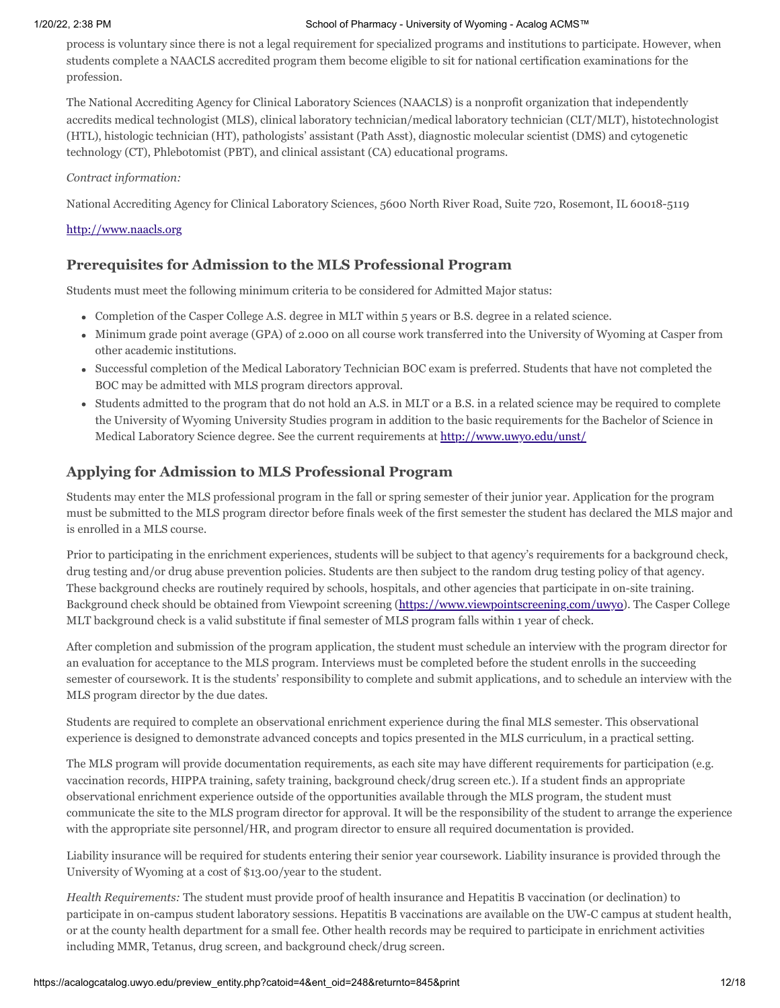process is voluntary since there is not a legal requirement for specialized programs and institutions to participate. However, when students complete a NAACLS accredited program them become eligible to sit for national certification examinations for the profession.

The National Accrediting Agency for Clinical Laboratory Sciences (NAACLS) is a nonprofit organization that independently accredits medical technologist (MLS), clinical laboratory technician/medical laboratory technician (CLT/MLT), histotechnologist (HTL), histologic technician (HT), pathologists' assistant (Path Asst), diagnostic molecular scientist (DMS) and cytogenetic technology (CT), Phlebotomist (PBT), and clinical assistant (CA) educational programs.

#### *Contract information:*

National Accrediting Agency for Clinical Laboratory Sciences, 5600 North River Road, Suite 720, Rosemont, IL 60018-5119

### [http://www.naacls.org](http://www.naacls.org/)

### **Prerequisites for Admission to the MLS Professional Program**

Students must meet the following minimum criteria to be considered for Admitted Major status:

- Completion of the Casper College A.S. degree in MLT within 5 years or B.S. degree in a related science.
- Minimum grade point average (GPA) of 2.000 on all course work transferred into the University of Wyoming at Casper from other academic institutions.
- Successful completion of the Medical Laboratory Technician BOC exam is preferred. Students that have not completed the BOC may be admitted with MLS program directors approval.
- Students admitted to the program that do not hold an A.S. in MLT or a B.S. in a related science may be required to complete the University of Wyoming University Studies program in addition to the basic requirements for the Bachelor of Science in Medical Laboratory Science degree. See the current requirements at <http://www.uwyo.edu/unst/>

## **Applying for Admission to MLS Professional Program**

Students may enter the MLS professional program in the fall or spring semester of their junior year. Application for the program must be submitted to the MLS program director before finals week of the first semester the student has declared the MLS major and is enrolled in a MLS course.

Prior to participating in the enrichment experiences, students will be subject to that agency's requirements for a background check, drug testing and/or drug abuse prevention policies. Students are then subject to the random drug testing policy of that agency. These background checks are routinely required by schools, hospitals, and other agencies that participate in on-site training. Background check should be obtained from Viewpoint screening [\(https://www.viewpointscreening.com/uwyo\)](https://www.viewpointscreening.com/uwyo). The Casper College MLT background check is a valid substitute if final semester of MLS program falls within 1 year of check.

After completion and submission of the program application, the student must schedule an interview with the program director for an evaluation for acceptance to the MLS program. Interviews must be completed before the student enrolls in the succeeding semester of coursework. It is the students' responsibility to complete and submit applications, and to schedule an interview with the MLS program director by the due dates.

Students are required to complete an observational enrichment experience during the final MLS semester. This observational experience is designed to demonstrate advanced concepts and topics presented in the MLS curriculum, in a practical setting.

The MLS program will provide documentation requirements, as each site may have different requirements for participation (e.g. vaccination records, HIPPA training, safety training, background check/drug screen etc.). If a student finds an appropriate observational enrichment experience outside of the opportunities available through the MLS program, the student must communicate the site to the MLS program director for approval. It will be the responsibility of the student to arrange the experience with the appropriate site personnel/HR, and program director to ensure all required documentation is provided.

Liability insurance will be required for students entering their senior year coursework. Liability insurance is provided through the University of Wyoming at a cost of \$13.00/year to the student.

*Health Requirements:* The student must provide proof of health insurance and Hepatitis B vaccination (or declination) to participate in on-campus student laboratory sessions. Hepatitis B vaccinations are available on the UW-C campus at student health, or at the county health department for a small fee. Other health records may be required to participate in enrichment activities including MMR, Tetanus, drug screen, and background check/drug screen.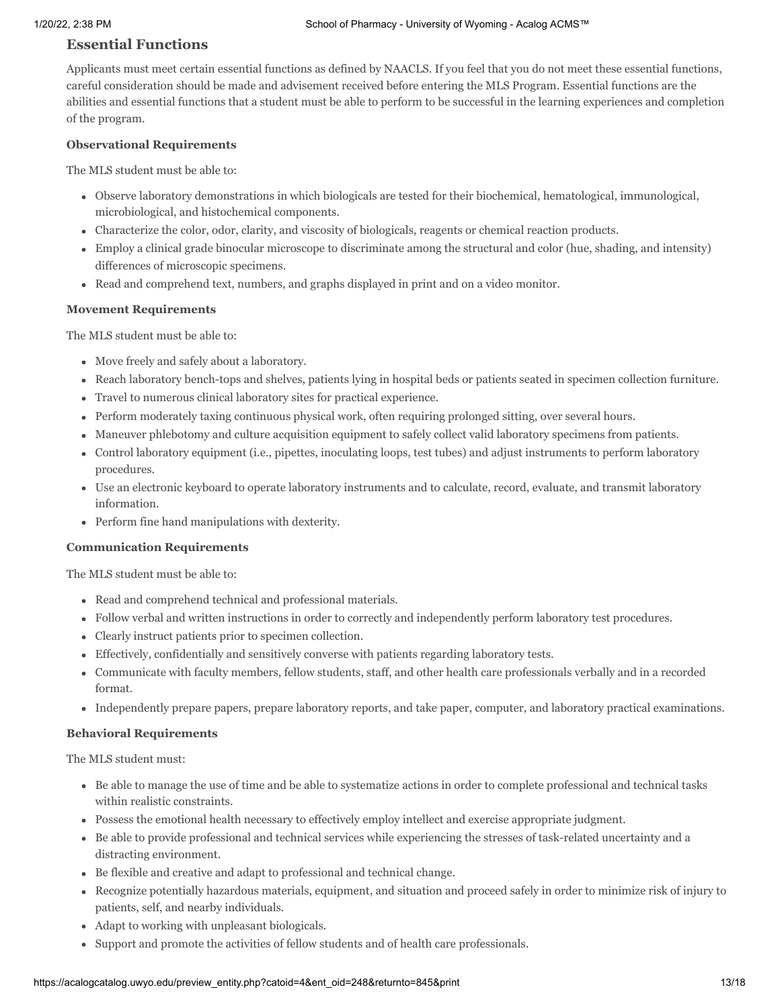### **Essential Functions**

Applicants must meet certain essential functions as defined by NAACLS. If you feel that you do not meet these essential functions, careful consideration should be made and advisement received before entering the MLS Program. Essential functions are the abilities and essential functions that a student must be able to perform to be successful in the learning experiences and completion of the program.

#### **Observational Requirements**

The MLS student must be able to:

- Observe laboratory demonstrations in which biologicals are tested for their biochemical, hematological, immunological, microbiological, and histochemical components.
- Characterize the color, odor, clarity, and viscosity of biologicals, reagents or chemical reaction products.
- Employ a clinical grade binocular microscope to discriminate among the structural and color (hue, shading, and intensity) differences of microscopic specimens.
- Read and comprehend text, numbers, and graphs displayed in print and on a video monitor.

#### **Movement Requirements**

The MLS student must be able to:

- Move freely and safely about a laboratory.
- Reach laboratory bench-tops and shelves, patients lying in hospital beds or patients seated in specimen collection furniture.
- Travel to numerous clinical laboratory sites for practical experience.
- Perform moderately taxing continuous physical work, often requiring prolonged sitting, over several hours.
- Maneuver phlebotomy and culture acquisition equipment to safely collect valid laboratory specimens from patients.
- Control laboratory equipment (i.e., pipettes, inoculating loops, test tubes) and adjust instruments to perform laboratory procedures.
- Use an electronic keyboard to operate laboratory instruments and to calculate, record, evaluate, and transmit laboratory information.
- Perform fine hand manipulations with dexterity.

#### **Communication Requirements**

The MLS student must be able to:

- Read and comprehend technical and professional materials.
- Follow verbal and written instructions in order to correctly and independently perform laboratory test procedures.
- Clearly instruct patients prior to specimen collection.
- Effectively, confidentially and sensitively converse with patients regarding laboratory tests.
- Communicate with faculty members, fellow students, staff, and other health care professionals verbally and in a recorded format.
- Independently prepare papers, prepare laboratory reports, and take paper, computer, and laboratory practical examinations.

#### **Behavioral Requirements**

The MLS student must:

- Be able to manage the use of time and be able to systematize actions in order to complete professional and technical tasks within realistic constraints.
- Possess the emotional health necessary to effectively employ intellect and exercise appropriate judgment.
- Be able to provide professional and technical services while experiencing the stresses of task-related uncertainty and a distracting environment.
- Be flexible and creative and adapt to professional and technical change.
- Recognize potentially hazardous materials, equipment, and situation and proceed safely in order to minimize risk of injury to patients, self, and nearby individuals.
- Adapt to working with unpleasant biologicals.
- Support and promote the activities of fellow students and of health care professionals.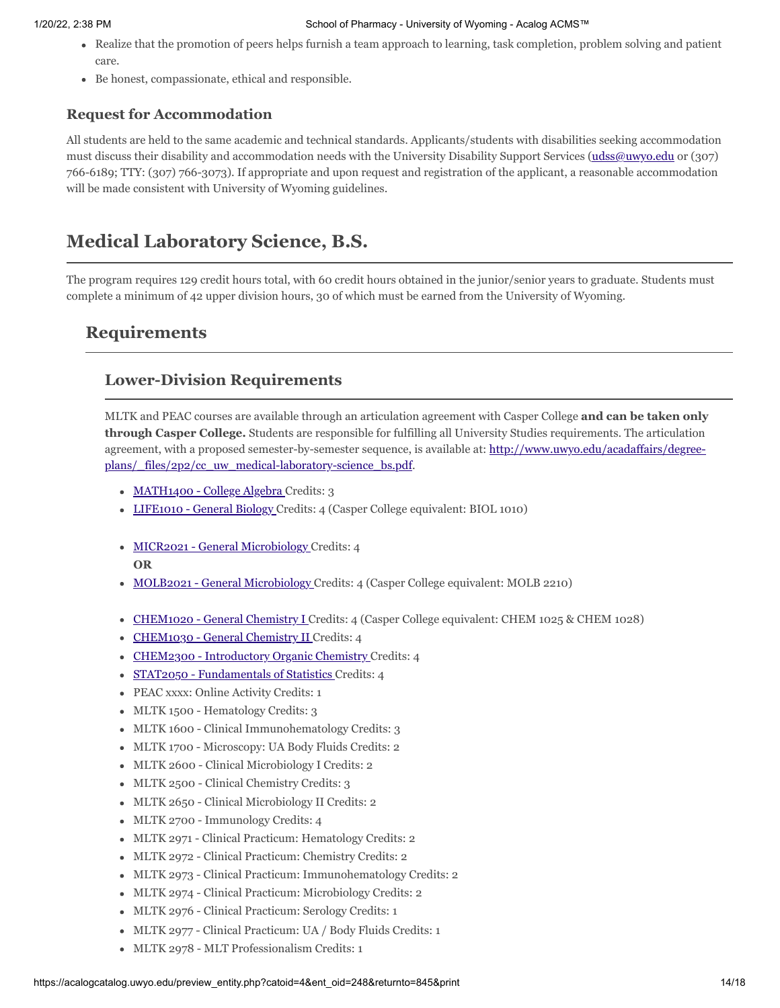- Realize that the promotion of peers helps furnish a team approach to learning, task completion, problem solving and patient care.
- Be honest, compassionate, ethical and responsible.

# **Request for Accommodation**

All students are held to the same academic and technical standards. Applicants/students with disabilities seeking accommodation must discuss their disability and accommodation needs with the University Disability Support Services ([udss@uwyo.edu](mailto:udss@uwyo.edu) or (307) 766-6189; TTY: (307) 766-3073). If appropriate and upon request and registration of the applicant, a reasonable accommodation will be made consistent with University of Wyoming guidelines.

# **Medical Laboratory Science, B.S.**

The program requires 129 credit hours total, with 60 credit hours obtained in the junior/senior years to graduate. Students must complete a minimum of 42 upper division hours, 30 of which must be earned from the University of Wyoming.

# **Requirements**

# **Lower-Division Requirements**

MLTK and PEAC courses are available through an articulation agreement with Casper College **and can be taken only through Casper College.** Students are responsible for fulfilling all University Studies requirements. The articulation [agreement, with a proposed semester-by-semester sequence, is available at: http://www.uwyo.edu/acadaffairs/degree](http://www.uwyo.edu/acadaffairs/degree-plans/_files/2p2/cc_uw_medical-laboratory-science_bs.pdf)plans/\_files/2p2/cc\_uw\_medical-laboratory-science\_bs.pdf.

- MATH1400 College Algebra Credits: 3
- LIFE1010 General Biology Credits: 4 (Casper College equivalent: BIOL 1010)
- MICR2021 General Microbiology Credits: 4 **OR**
- MOLB2021 General Microbiology Credits: 4 (Casper College equivalent: MOLB 2210)
- CHEM1020 General Chemistry I Credits: 4 (Casper College equivalent: CHEM 1025 & CHEM 1028)
- CHEM1030 General Chemistry II Credits: 4
- CHEM2300 Introductory Organic Chemistry Credits: 4
- STAT2050 Fundamentals of Statistics Credits: 4
- PEAC xxxx: Online Activity Credits: 1
- MLTK 1500 Hematology Credits: 3
- MLTK 1600 Clinical Immunohematology Credits: 3
- MLTK 1700 Microscopy: UA Body Fluids Credits: 2
- MLTK 2600 Clinical Microbiology I Credits: 2
- MLTK 2500 Clinical Chemistry Credits: 3
- MLTK 2650 Clinical Microbiology II Credits: 2
- MLTK 2700 Immunology Credits: 4
- MLTK 2971 Clinical Practicum: Hematology Credits: 2
- MLTK 2972 Clinical Practicum: Chemistry Credits: 2
- MLTK 2973 Clinical Practicum: Immunohematology Credits: 2
- MLTK 2974 Clinical Practicum: Microbiology Credits: 2
- MLTK 2976 Clinical Practicum: Serology Credits: 1
- MLTK 2977 Clinical Practicum: UA / Body Fluids Credits: 1
- MLTK 2978 MLT Professionalism Credits: 1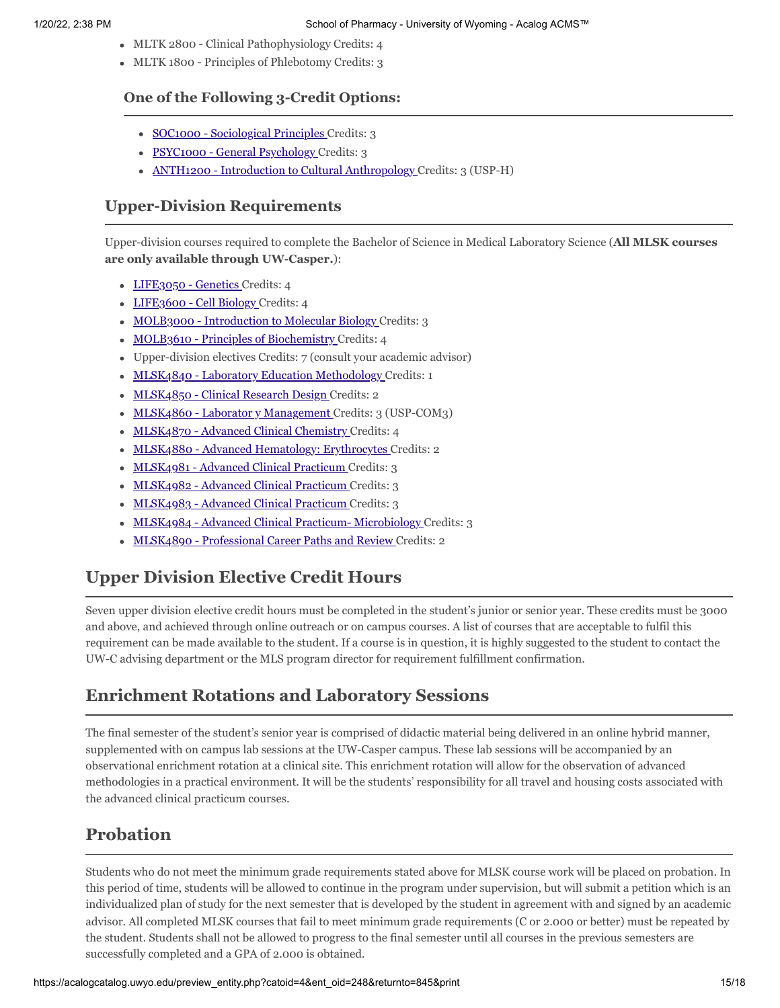- MLTK 2800 Clinical Pathophysiology Credits: 4
- MLTK 1800 Principles of Phlebotomy Credits: 3

### **One of the Following 3-Credit Options:**

- SOC1000 Sociological Principles Credits: 3
- PSYC1000 General Psychology Credits: 3
- ANTH1200 Introduction to Cultural Anthropology Credits: 3 (USP-H)

### **Upper-Division Requirements**

Upper-division courses required to complete the Bachelor of Science in Medical Laboratory Science (**All MLSK courses are only available through UW-Casper.**):

- LIFE3050 Genetics Credits: 4
- LIFE3600 Cell Biology Credits: 4
- MOLB3000 Introduction to Molecular Biology Credits: 3
- MOLB3610 Principles of Biochemistry Credits: 4
- Upper-division electives Credits: 7 (consult your academic advisor)
- MLSK4840 Laboratory Education Methodology Credits: 1
- MLSK4850 Clinical Research Design Credits: 2
- MLSK4860 Laborator y Management Credits: 3 (USP-COM3)
- MLSK4870 Advanced Clinical Chemistry Credits: 4
- MLSK4880 Advanced Hematology: Erythrocytes Credits: 2
- MLSK4981 Advanced Clinical Practicum Credits: 3
- MLSK4982 Advanced Clinical Practicum Credits: 3
- MLSK4983 Advanced Clinical Practicum Credits: 3
- MLSK4984 Advanced Clinical Practicum- Microbiology Credits: 3
- MLSK4890 Professional Career Paths and Review Credits: 2

# **Upper Division Elective Credit Hours**

Seven upper division elective credit hours must be completed in the student's junior or senior year. These credits must be 3000 and above, and achieved through online outreach or on campus courses. A list of courses that are acceptable to fulfil this requirement can be made available to the student. If a course is in question, it is highly suggested to the student to contact the UW-C advising department or the MLS program director for requirement fulfillment confirmation.

# **Enrichment Rotations and Laboratory Sessions**

The final semester of the student's senior year is comprised of didactic material being delivered in an online hybrid manner, supplemented with on campus lab sessions at the UW-Casper campus. These lab sessions will be accompanied by an observational enrichment rotation at a clinical site. This enrichment rotation will allow for the observation of advanced methodologies in a practical environment. It will be the students' responsibility for all travel and housing costs associated with the advanced clinical practicum courses.

# **Probation**

Students who do not meet the minimum grade requirements stated above for MLSK course work will be placed on probation. In this period of time, students will be allowed to continue in the program under supervision, but will submit a petition which is an individualized plan of study for the next semester that is developed by the student in agreement with and signed by an academic advisor. All completed MLSK courses that fail to meet minimum grade requirements (C or 2.000 or better) must be repeated by the student. Students shall not be allowed to progress to the final semester until all courses in the previous semesters are successfully completed and a GPA of 2.000 is obtained.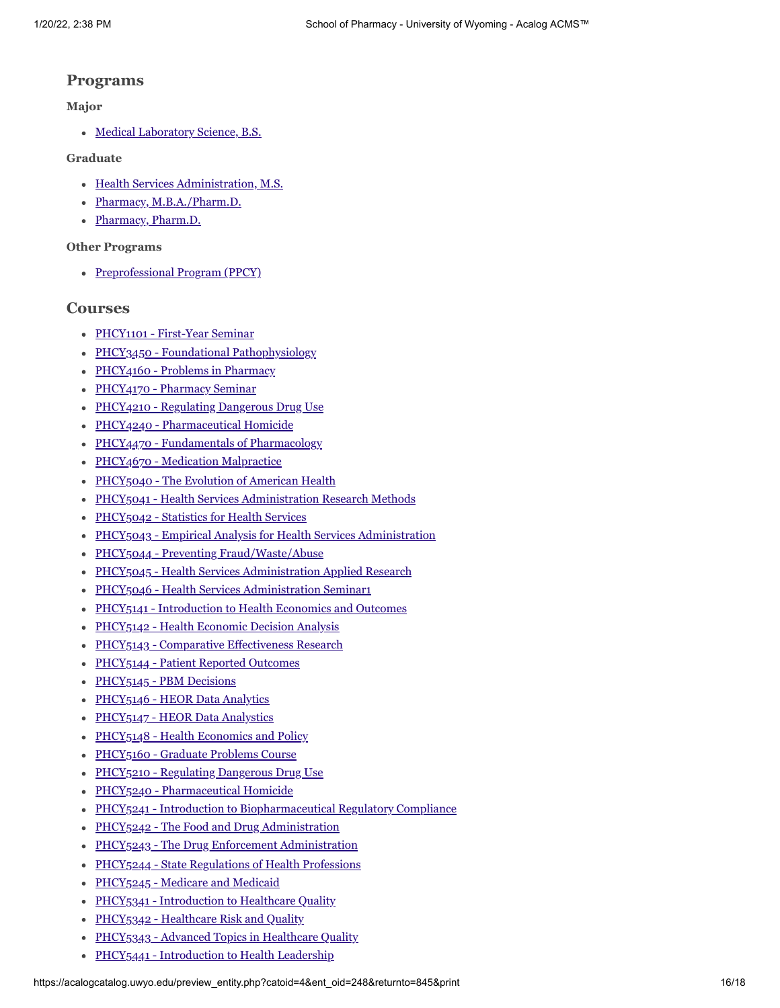### **Programs**

#### **Major**

• [Medical Laboratory Science, B.S.](https://acalogcatalog.uwyo.edu/preview_program.php?catoid=4&poid=1371)

#### **Graduate**

- [Health Services Administration, M.S.](https://acalogcatalog.uwyo.edu/preview_program.php?catoid=4&poid=1369)
- [Pharmacy, M.B.A./Pharm.D.](https://acalogcatalog.uwyo.edu/preview_program.php?catoid=4&poid=1370)
- [Pharmacy, Pharm.D.](https://acalogcatalog.uwyo.edu/preview_program.php?catoid=4&poid=1368)

#### **Other Programs**

• [Preprofessional Program \(PPCY\)](https://acalogcatalog.uwyo.edu/preview_program.php?catoid=4&poid=1458)

### **Courses**

- PHCY1101 First-Year Seminar
- PHCY3450 Foundational Pathophysiology
- PHCY4160 Problems in Pharmacy
- PHCY4170 Pharmacy Seminar
- PHCY4210 Regulating Dangerous Drug Use
- PHCY4240 Pharmaceutical Homicide
- PHCY4470 Fundamentals of Pharmacology
- PHCY4670 Medication Malpractice
- PHCY5040 The Evolution of American Health
- PHCY5041 Health Services Administration Research Methods
- PHCY5042 Statistics for Health Services
- PHCY5043 Empirical Analysis for Health Services Administration
- PHCY5044 Preventing Fraud/Waste/Abuse
- PHCY5045 Health Services Administration Applied Research
- PHCY5046 Health Services Administration Seminar1
- PHCY5141 Introduction to Health Economics and Outcomes
- PHCY5142 Health Economic Decision Analysis
- PHCY5143 Comparative Effectiveness Research
- PHCY5144 Patient Reported Outcomes
- PHCY5145 PBM Decisions
- PHCY5146 HEOR Data Analytics
- PHCY5147 HEOR Data Analystics
- PHCY5148 Health Economics and Policy
- PHCY5160 Graduate Problems Course
- PHCY5210 Regulating Dangerous Drug Use
- PHCY5240 Pharmaceutical Homicide
- PHCY5241 Introduction to Biopharmaceutical Regulatory Compliance
- PHCY5242 The Food and Drug Administration
- PHCY5243 The Drug Enforcement Administration
- PHCY5244 State Regulations of Health Professions
- PHCY5245 Medicare and Medicaid
- PHCY5341 Introduction to Healthcare Quality
- PHCY5342 Healthcare Risk and Quality
- PHCY5343 Advanced Topics in Healthcare Quality
- PHCY5441 Introduction to Health Leadership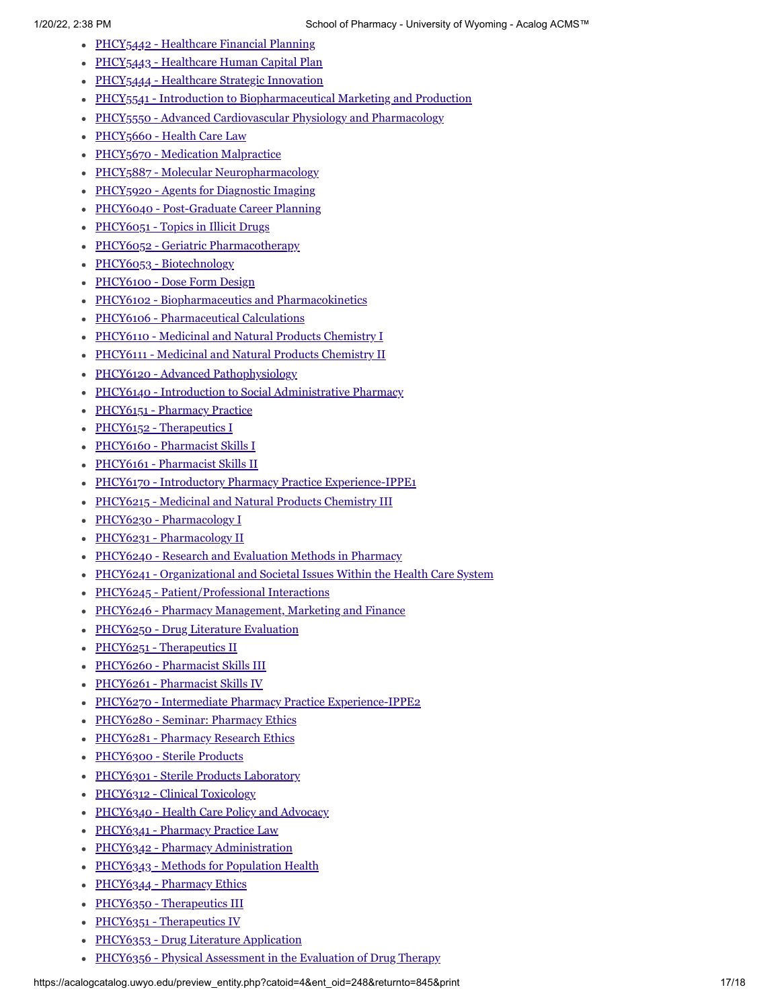- PHCY5442 Healthcare Financial Planning
- PHCY5443 Healthcare Human Capital Plan
- PHCY5444 Healthcare Strategic Innovation
- PHCY5541 Introduction to Biopharmaceutical Marketing and Production
- PHCY5550 Advanced Cardiovascular Physiology and Pharmacology
- PHCY5660 Health Care Law
- PHCY5670 Medication Malpractice
- PHCY5887 Molecular Neuropharmacology
- PHCY5920 Agents for Diagnostic Imaging
- PHCY6040 Post-Graduate Career Planning
- PHCY6051 Topics in Illicit Drugs
- PHCY6052 Geriatric Pharmacotherapy
- PHCY6053 Biotechnology
- PHCY6100 Dose Form Design
- PHCY6102 Biopharmaceutics and Pharmacokinetics
- PHCY6106 Pharmaceutical Calculations
- PHCY6110 Medicinal and Natural Products Chemistry I
- PHCY6111 Medicinal and Natural Products Chemistry II
- PHCY6120 Advanced Pathophysiology
- PHCY6140 Introduction to Social Administrative Pharmacy
- PHCY6151 Pharmacy Practice
- PHCY6152 Therapeutics I
- PHCY6160 Pharmacist Skills I
- PHCY6161 Pharmacist Skills II
- PHCY6170 Introductory Pharmacy Practice Experience-IPPE1
- PHCY6215 Medicinal and Natural Products Chemistry III
- PHCY6230 Pharmacology I
- PHCY6231 Pharmacology II
- PHCY6240 Research and Evaluation Methods in Pharmacy
- PHCY6241 Organizational and Societal Issues Within the Health Care System
- PHCY6245 Patient/Professional Interactions
- PHCY6246 Pharmacy Management, Marketing and Finance
- PHCY6250 Drug Literature Evaluation
- PHCY6251 Therapeutics II
- PHCY6260 Pharmacist Skills III
- PHCY6261 Pharmacist Skills IV
- PHCY6270 Intermediate Pharmacy Practice Experience-IPPE2
- PHCY6280 Seminar: Pharmacy Ethics
- PHCY6281 Pharmacy Research Ethics
- PHCY6300 Sterile Products
- PHCY6301 Sterile Products Laboratory
- PHCY6312 Clinical Toxicology
- PHCY6340 Health Care Policy and Advocacy
- PHCY6341 Pharmacy Practice Law
- PHCY6342 Pharmacy Administration
- PHCY6343 Methods for Population Health
- PHCY6344 Pharmacy Ethics
- PHCY6350 Therapeutics III
- PHCY6351 Therapeutics IV
- PHCY6353 Drug Literature Application
- PHCY6356 Physical Assessment in the Evaluation of Drug Therapy